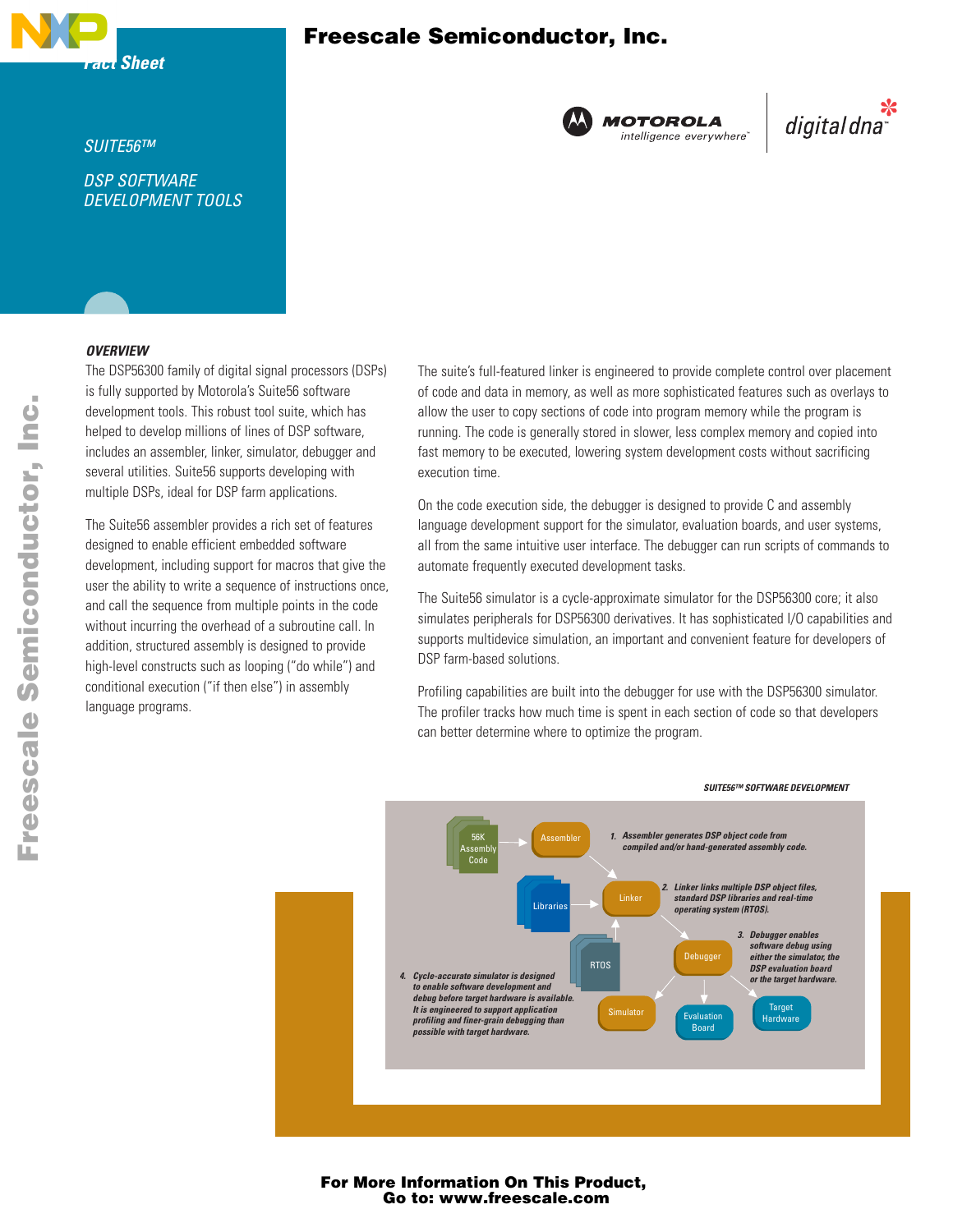

## Freescale Semiconductor, Inc.



digitaldna

### *SUITE56™*

*DSP SOFTWARE DEVELOPMENT TOOLS* 

### *OVERVIEW*

The DSP56300 family of digital signal processors (DSPs) is fully supported by Motorola's Suite56 software development tools. This robust tool suite, which has helped to develop millions of lines of DSP software, includes an assembler, linker, simulator, debugger and several utilities. Suite56 supports developing with multiple DSPs, ideal for DSP farm applications.

The Suite56 assembler provides a rich set of features designed to enable efficient embedded software development, including support for macros that give the user the ability to write a sequence of instructions once, and call the sequence from multiple points in the code without incurring the overhead of a subroutine call. In addition, structured assembly is designed to provide high-level constructs such as looping ("do while") and conditional execution ("if then else") in assembly language programs.

The suite's full-featured linker is engineered to provide complete control over placement of code and data in memory, as well as more sophisticated features such as overlays to allow the user to copy sections of code into program memory while the program is running. The code is generally stored in slower, less complex memory and copied into fast memory to be executed, lowering system development costs without sacrificing execution time.

On the code execution side, the debugger is designed to provide C and assembly language development support for the simulator, evaluation boards, and user systems, all from the same intuitive user interface. The debugger can run scripts of commands to automate frequently executed development tasks.

The Suite56 simulator is a cycle-approximate simulator for the DSP56300 core; it also simulates peripherals for DSP56300 derivatives. It has sophisticated I/O capabilities and supports multidevice simulation, an important and convenient feature for developers of DSP farm-based solutions.

Profiling capabilities are built into the debugger for use with the DSP56300 simulator. The profiler tracks how much time is spent in each section of code so that developers can better determine where to optimize the program.



For More Information On This Product, Go to: www.freescale.com